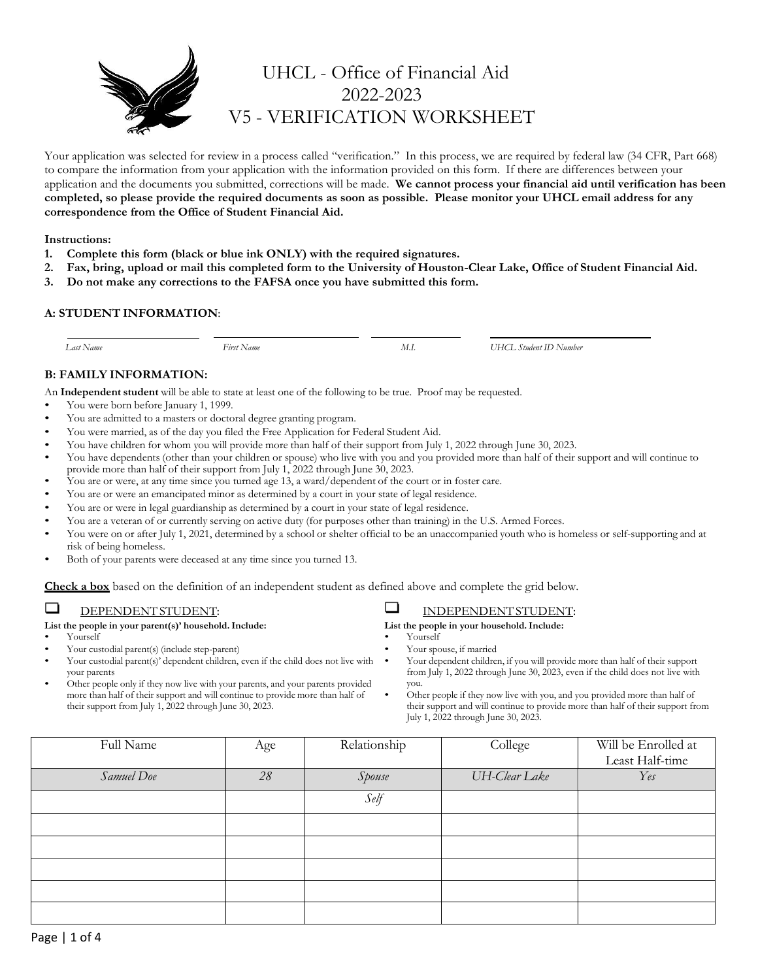

# UHCL - Office of Financial Aid 2022-2023 V5 - VERIFICATION WORKSHEET

Your application was selected for review in a process called "verification." In this process, we are required by federal law (34 CFR, Part 668) to compare the information from your application with the information provided on this form. If there are differences between your application and the documents you submitted, corrections will be made. **We cannot process your financial aid until verification has been completed, so please provide the required documents as soon as possible. Please monitor your UHCL email address for any correspondence from the Office of Student Financial Aid.**

### **Instructions:**

- **1. Complete this form (black or blue ink ONLY) with the required signatures.**
- **2. Fax, bring, upload or mail this completed form to the University of Houston-Clear Lake, Office of Student Financial Aid.**
- **3. Do not make any corrections to the FAFSA once you have submitted this form.**

# **A: STUDENT INFORMATION**:

 *Last Name First Name M.I. UHCL Student ID Number*

# **B: FAMILY INFORMATION:**

An **Independent student** will be able to state at least one of the following to be true. Proof may be requested.

- You were born before January 1, 1999.
- You are admitted to a masters or doctoral degree granting program.
- You were married, as of the day you filed the Free Application for Federal Student Aid.
- You have children for whom you will provide more than half of their support from July 1, 2022 through June 30, 2023.
- You have dependents (other than your children or spouse) who live with you and you provided more than half of their support and will continue to provide more than half of their support from July 1, 2022 through June 30, 2023.
- You are or were, at any time since you turned age 13, a ward/dependent of the court or in foster care.
- You are or were an emancipated minor as determined by a court in your state of legal residence.
- You are or were in legal guardianship as determined by a court in your state of legal residence.
- You are a veteran of or currently serving on active duty (for purposes other than training) in the U.S. Armed Forces.
- You were on or after July 1, 2021, determined by a school or shelter official to be an unaccompanied youth who is homeless or self-supporting and at risk of being homeless.
- Both of your parents were deceased at any time since you turned 13.

**Check a box** based on the definition of an independent student as defined above and complete the grid below.

#### □ DEPENDENT STUDENT:

### **List the people in your parent(s)' household.Include:**

- Yourself
- Your custodial parent(s) (include step-parent)
- Your custodial parent(s)' dependent children, even if the child does not live with your parents
- Other people only if they now live with your parents, and your parents provided more than half of their support and will continue to provide more than half of their support from July 1, 2022 through June 30, 2023.

#### $\Box$ INDEPENDENT STUDENT:

**List the people in your household.Include:**

- Yourself
- Your spouse, if married
- Your dependent children, if you will provide more than half of their support from July 1, 2022 through June 30, 2023, even if the child does not live with you.
- Other people if they now live with you, and you provided more than half of their support and will continue to provide more than half of their support from July 1, 2022 through June 30, 2023.

| Full Name  | Age | Relationship | College       | Will be Enrolled at |
|------------|-----|--------------|---------------|---------------------|
|            |     |              |               | Least Half-time     |
| Samuel Doe | 28  | Spouse       | UH-Clear Lake | Yes                 |
|            |     | Self         |               |                     |
|            |     |              |               |                     |
|            |     |              |               |                     |
|            |     |              |               |                     |
|            |     |              |               |                     |
|            |     |              |               |                     |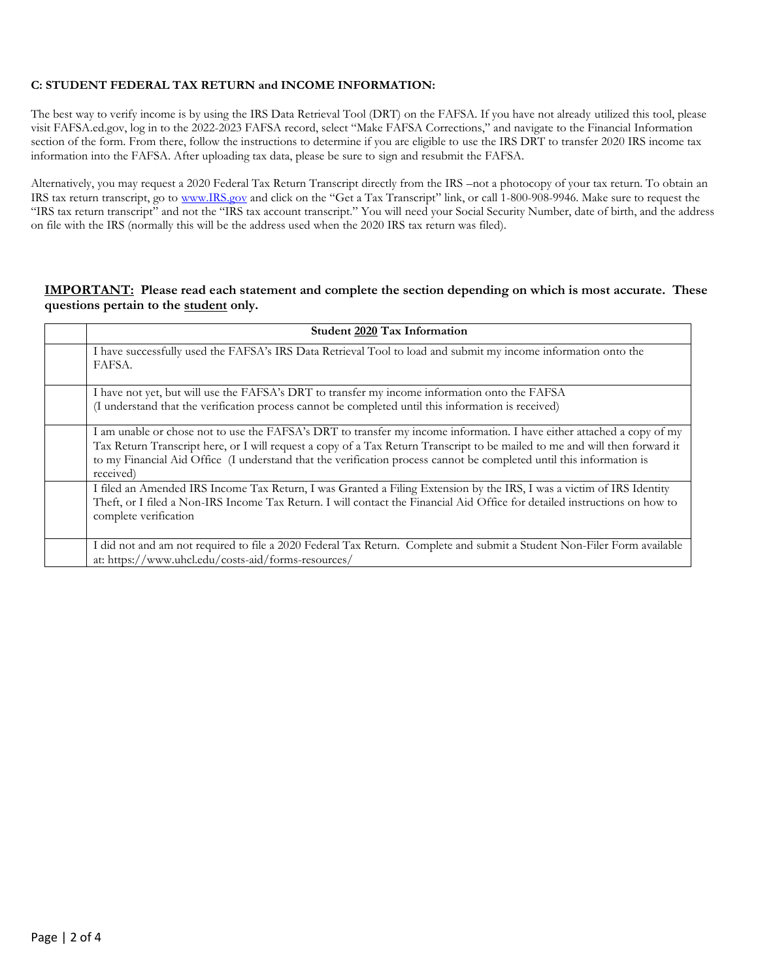# **C: STUDENT FEDERAL TAX RETURN and INCOME INFORMATION:**

The best way to verify income is by using the IRS Data Retrieval Tool (DRT) on the FAFSA. If you have not already utilized this tool, please visit FAFSA.ed.gov, log in to the 2022-2023 FAFSA record, select "Make FAFSA Corrections," and navigate to the Financial Information section of the form. From there, follow the instructions to determine if you are eligible to use the IRS DRT to transfer 2020 IRS income tax information into the FAFSA. After uploading tax data, please be sure to sign and resubmit the FAFSA.

Alternatively, you may request a 2020 Federal Tax Return Transcript directly from the IRS –not a photocopy of your tax return. To obtain an IRS tax return transcript, go to [www.IRS.gov](http://www.irs.gov/) and click on the "Get a Tax Transcript" link, or call 1-800-908-9946. Make sure to request the "IRS tax return transcript" and not the "IRS tax account transcript." You will need your Social Security Number, date of birth, and the address on file with the IRS (normally this will be the address used when the 2020 IRS tax return was filed).

# **IMPORTANT: Please read each statement and complete the section depending on which is most accurate. These questions pertain to the student only.**

| Student 2020 Tax Information                                                                                                                                                                                                                                                                                                                                                               |
|--------------------------------------------------------------------------------------------------------------------------------------------------------------------------------------------------------------------------------------------------------------------------------------------------------------------------------------------------------------------------------------------|
| I have successfully used the FAFSA's IRS Data Retrieval Tool to load and submit my income information onto the<br>FAFSA.                                                                                                                                                                                                                                                                   |
| I have not yet, but will use the FAFSA's DRT to transfer my income information onto the FAFSA                                                                                                                                                                                                                                                                                              |
| (I understand that the verification process cannot be completed until this information is received)                                                                                                                                                                                                                                                                                        |
| I am unable or chose not to use the FAFSA's DRT to transfer my income information. I have either attached a copy of my<br>Tax Return Transcript here, or I will request a copy of a Tax Return Transcript to be mailed to me and will then forward it<br>to my Financial Aid Office (I understand that the verification process cannot be completed until this information is<br>received) |
| I filed an Amended IRS Income Tax Return, I was Granted a Filing Extension by the IRS, I was a victim of IRS Identity                                                                                                                                                                                                                                                                      |
| Theft, or I filed a Non-IRS Income Tax Return. I will contact the Financial Aid Office for detailed instructions on how to<br>complete verification                                                                                                                                                                                                                                        |
| I did not and am not required to file a 2020 Federal Tax Return. Complete and submit a Student Non-Filer Form available<br>at: https://www.uhcl.edu/costs-aid/forms-resources/                                                                                                                                                                                                             |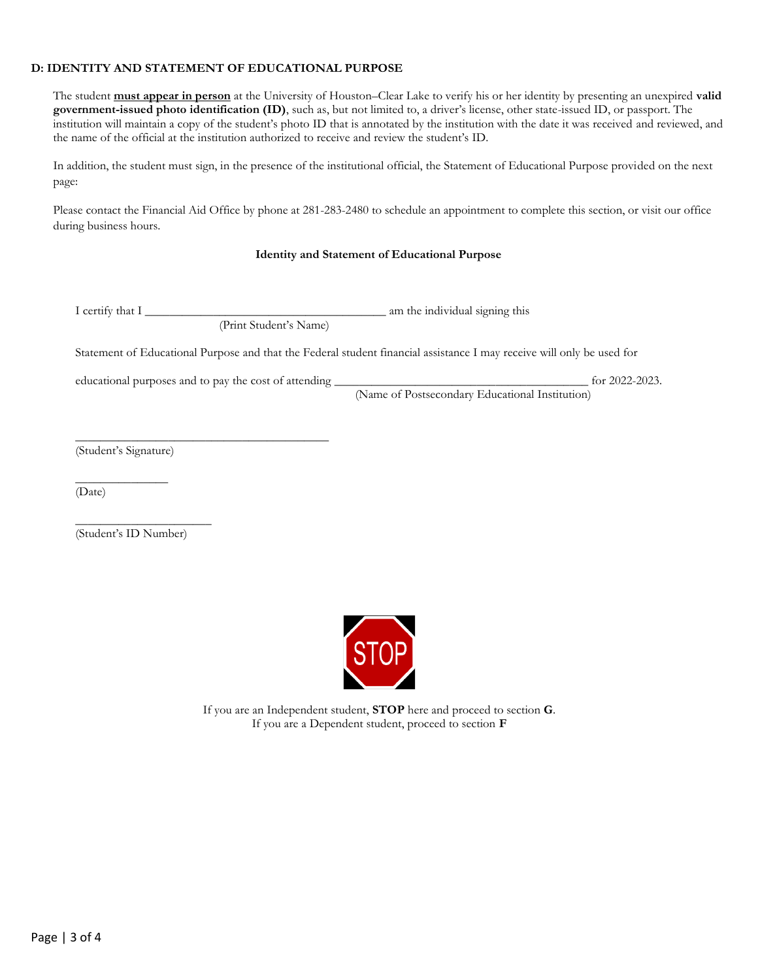# **D: IDENTITY AND STATEMENT OF EDUCATIONAL PURPOSE**

The student **must appear in person** at the University of Houston–Clear Lake to verify his or her identity by presenting an unexpired **valid government-issued photo identification (ID)**, such as, but not limited to, a driver's license, other state-issued ID, or passport. The institution will maintain a copy of the student's photo ID that is annotated by the institution with the date it was received and reviewed, and the name of the official at the institution authorized to receive and review the student's ID.

In addition, the student must sign, in the presence of the institutional official, the Statement of Educational Purpose provided on the next page:

Please contact the Financial Aid Office by phone at 281-283-2480 to schedule an appointment to complete this section, or visit our office during business hours.

# **Identity and Statement of Educational Purpose**

I certify that I \_\_\_\_\_\_\_\_\_\_\_\_\_\_\_\_\_\_\_\_\_\_\_\_\_\_\_\_\_\_\_\_\_\_\_\_\_\_\_ am the individual signing this

(Print Student's Name)

Statement of Educational Purpose and that the Federal student financial assistance I may receive will only be used for

educational purposes and to pay the cost of attending \_\_\_\_\_\_\_\_\_\_\_\_\_\_\_\_\_\_\_\_\_\_\_\_\_\_\_\_\_\_\_\_\_\_\_\_\_\_\_\_\_ for 2022-2023.

\_\_\_\_\_\_\_\_\_\_\_\_\_\_\_\_\_\_\_\_\_\_\_\_\_\_\_\_\_\_\_\_\_\_\_\_\_\_\_\_\_

(Name of Postsecondary Educational Institution)

(Student's Signature)

 $\overline{\phantom{a}}$  , where  $\overline{\phantom{a}}$ 

(Date)

\_\_\_\_\_\_\_\_\_\_\_\_\_\_\_\_\_\_\_\_\_\_ (Student's ID Number)



If you are an Independent student, **STOP** here and proceed to section **G**. If you are a Dependent student, proceed to section **F**